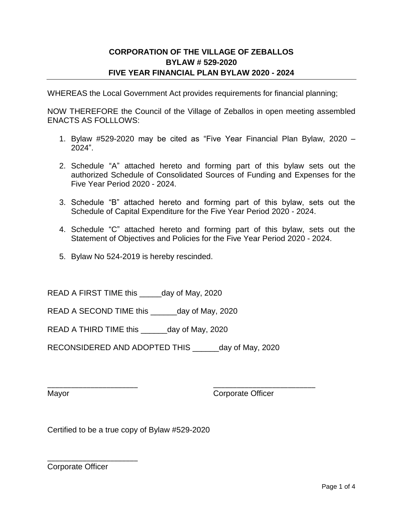# **CORPORATION OF THE VILLAGE OF ZEBALLOS BYLAW # 529-2020 FIVE YEAR FINANCIAL PLAN BYLAW 2020 - 2024**

WHEREAS the Local Government Act provides requirements for financial planning;

NOW THEREFORE the Council of the Village of Zeballos in open meeting assembled ENACTS AS FOLLLOWS:

- 1. Bylaw #529-2020 may be cited as "Five Year Financial Plan Bylaw, 2020 2024".
- 2. Schedule "A" attached hereto and forming part of this bylaw sets out the authorized Schedule of Consolidated Sources of Funding and Expenses for the Five Year Period 2020 - 2024.
- 3. Schedule "B" attached hereto and forming part of this bylaw, sets out the Schedule of Capital Expenditure for the Five Year Period 2020 - 2024.
- 4. Schedule "C" attached hereto and forming part of this bylaw, sets out the Statement of Objectives and Policies for the Five Year Period 2020 - 2024.
- 5. Bylaw No 524-2019 is hereby rescinded.

READ A FIRST TIME this \_\_\_\_\_day of May, 2020

READ A SECOND TIME this \_\_\_\_\_\_day of May, 2020

READ A THIRD TIME this \_\_\_\_\_\_day of May, 2020

RECONSIDERED AND ADOPTED THIS day of May, 2020

\_\_\_\_\_\_\_\_\_\_\_\_\_\_\_\_\_\_\_\_\_\_\_ \_\_\_\_\_\_\_\_\_\_\_\_\_\_\_\_\_\_\_\_\_\_\_\_\_\_ Mayor **Corporate Officer** 

Certified to be a true copy of Bylaw #529-2020

Corporate Officer

\_\_\_\_\_\_\_\_\_\_\_\_\_\_\_\_\_\_\_\_\_\_\_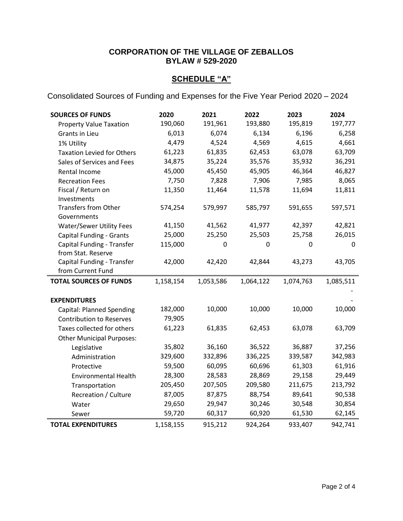# **CORPORATION OF THE VILLAGE OF ZEBALLOS BYLAW # 529-2020**

# **SCHEDULE "A"**

Consolidated Sources of Funding and Expenses for the Five Year Period 2020 – 2024

| <b>SOURCES OF FUNDS</b>           | 2020      | 2021      | 2022      | 2023      | 2024      |
|-----------------------------------|-----------|-----------|-----------|-----------|-----------|
| <b>Property Value Taxation</b>    | 190,060   | 191,961   | 193,880   | 195,819   | 197,777   |
| <b>Grants in Lieu</b>             | 6,013     | 6,074     | 6,134     | 6,196     | 6,258     |
| 1% Utility                        | 4,479     | 4,524     | 4,569     | 4,615     | 4,661     |
| <b>Taxation Levied for Others</b> | 61,223    | 61,835    | 62,453    | 63,078    | 63,709    |
| Sales of Services and Fees        | 34,875    | 35,224    | 35,576    | 35,932    | 36,291    |
| Rental Income                     | 45,000    | 45,450    | 45,905    | 46,364    | 46,827    |
| <b>Recreation Fees</b>            | 7,750     | 7,828     | 7,906     | 7,985     | 8,065     |
| Fiscal / Return on                | 11,350    | 11,464    | 11,578    | 11,694    | 11,811    |
| Investments                       |           |           |           |           |           |
| <b>Transfers from Other</b>       | 574,254   | 579,997   | 585,797   | 591,655   | 597,571   |
| Governments                       |           |           |           |           |           |
| <b>Water/Sewer Utility Fees</b>   | 41,150    | 41,562    | 41,977    | 42,397    | 42,821    |
| <b>Capital Funding - Grants</b>   | 25,000    | 25,250    | 25,503    | 25,758    | 26,015    |
| Capital Funding - Transfer        | 115,000   | 0         | 0         | 0         | 0         |
| from Stat. Reserve                |           |           |           |           |           |
| Capital Funding - Transfer        | 42,000    | 42,420    | 42,844    | 43,273    | 43,705    |
|                                   |           |           |           |           |           |
| from Current Fund                 |           |           |           |           |           |
| <b>TOTAL SOURCES OF FUNDS</b>     | 1,158,154 | 1,053,586 | 1,064,122 | 1,074,763 | 1,085,511 |
|                                   |           |           |           |           |           |
| <b>EXPENDITURES</b>               |           |           |           |           |           |
| <b>Capital: Planned Spending</b>  | 182,000   | 10,000    | 10,000    | 10,000    | 10,000    |
| <b>Contribution to Reserves</b>   | 79,905    |           |           |           |           |
| Taxes collected for others        | 61,223    | 61,835    | 62,453    | 63,078    | 63,709    |
| <b>Other Municipal Purposes:</b>  |           |           |           |           |           |
| Legislative                       | 35,802    | 36,160    | 36,522    | 36,887    | 37,256    |
| Administration                    | 329,600   | 332,896   | 336,225   | 339,587   | 342,983   |
| Protective                        | 59,500    | 60,095    | 60,696    | 61,303    | 61,916    |
| <b>Environmental Health</b>       | 28,300    | 28,583    | 28,869    | 29,158    | 29,449    |
| Transportation                    | 205,450   | 207,505   | 209,580   | 211,675   | 213,792   |
| Recreation / Culture              | 87,005    | 87,875    | 88,754    | 89,641    | 90,538    |
| Water                             | 29,650    | 29,947    | 30,246    | 30,548    | 30,854    |
| Sewer                             | 59,720    | 60,317    | 60,920    | 61,530    | 62,145    |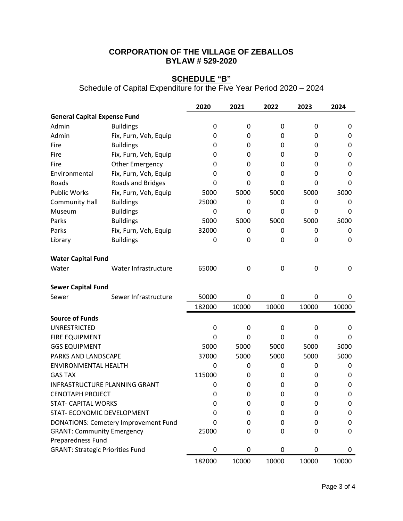# **CORPORATION OF THE VILLAGE OF ZEBALLOS BYLAW # 529-2020**

#### **SCHEDULE "B"**

Schedule of Capital Expenditure for the Five Year Period 2020 – 2024

|                                         |                                             | 2020         | 2021  | 2022  | 2023  | 2024  |
|-----------------------------------------|---------------------------------------------|--------------|-------|-------|-------|-------|
| <b>General Capital Expense Fund</b>     |                                             |              |       |       |       |       |
| Admin                                   | <b>Buildings</b>                            | 0            | 0     | 0     | 0     | 0     |
| Admin                                   | Fix, Furn, Veh, Equip                       | 0            | 0     | 0     | 0     | 0     |
| Fire                                    | <b>Buildings</b>                            | 0            | 0     | 0     | 0     | 0     |
| Fire                                    | Fix, Furn, Veh, Equip                       | 0            | 0     | 0     | 0     | 0     |
| Fire                                    | <b>Other Emergency</b>                      | 0            | 0     | 0     | 0     | 0     |
| Environmental                           | Fix, Furn, Veh, Equip                       | 0            | 0     | 0     | 0     | 0     |
| Roads                                   | Roads and Bridges                           | 0            | 0     | 0     | 0     | 0     |
| <b>Public Works</b>                     | Fix, Furn, Veh, Equip                       | 5000         | 5000  | 5000  | 5000  | 5000  |
| <b>Community Hall</b>                   | <b>Buildings</b>                            | 25000        | 0     | 0     | 0     | 0     |
| Museum                                  | <b>Buildings</b>                            | 0            | 0     | 0     | 0     | 0     |
| Parks                                   | <b>Buildings</b>                            | 5000         | 5000  | 5000  | 5000  | 5000  |
| Parks                                   | Fix, Furn, Veh, Equip                       | 32000        | 0     | 0     | 0     | 0     |
| Library                                 | <b>Buildings</b>                            | 0            | 0     | 0     | 0     | 0     |
| <b>Water Capital Fund</b>               |                                             |              |       |       |       |       |
| Water                                   | Water Infrastructure                        | 65000        | 0     | 0     | 0     | 0     |
| <b>Sewer Capital Fund</b>               |                                             |              |       |       |       |       |
| Sewer                                   | Sewer Infrastructure                        | 50000        | 0     | 0     | 0     | 0     |
|                                         |                                             | 182000       | 10000 | 10000 | 10000 | 10000 |
| <b>Source of Funds</b>                  |                                             |              |       |       |       |       |
| <b>UNRESTRICTED</b>                     |                                             | 0            | 0     | 0     | 0     | 0     |
| <b>FIRE EQUIPMENT</b>                   |                                             | 0            | 0     | 0     | 0     | 0     |
| <b>GGS EQUIPMENT</b>                    |                                             | 5000         | 5000  | 5000  | 5000  | 5000  |
| PARKS AND LANDSCAPE                     |                                             | 37000        | 5000  | 5000  | 5000  | 5000  |
| <b>ENVIRONMENTAL HEALTH</b>             |                                             | $\mathbf{0}$ | 0     | 0     | 0     | 0     |
| <b>GAS TAX</b>                          |                                             | 115000       | 0     | 0     | 0     | 0     |
|                                         | <b>INFRASTRUCTURE PLANNING GRANT</b>        | 0            | 0     | 0     | 0     | 0     |
| <b>CENOTAPH PROJECT</b>                 |                                             | 0            | 0     | 0     | 0     | 0     |
| <b>STAT- CAPITAL WORKS</b>              |                                             | 0            | 0     | 0     | 0     | 0     |
| STAT- ECONOMIC DEVELOPMENT              |                                             | O            | 0     | 0     | 0     | 0     |
|                                         | <b>DONATIONS: Cemetery Improvement Fund</b> | 0            | 0     | 0     | 0     | 0     |
| <b>GRANT: Community Emergency</b>       |                                             | 25000        | 0     | 0     | 0     | 0     |
| Preparedness Fund                       |                                             |              |       |       |       |       |
| <b>GRANT: Strategic Priorities Fund</b> |                                             | 0            | 0     | 0     | 0     | 0     |
|                                         |                                             | 182000       | 10000 | 10000 | 10000 | 10000 |